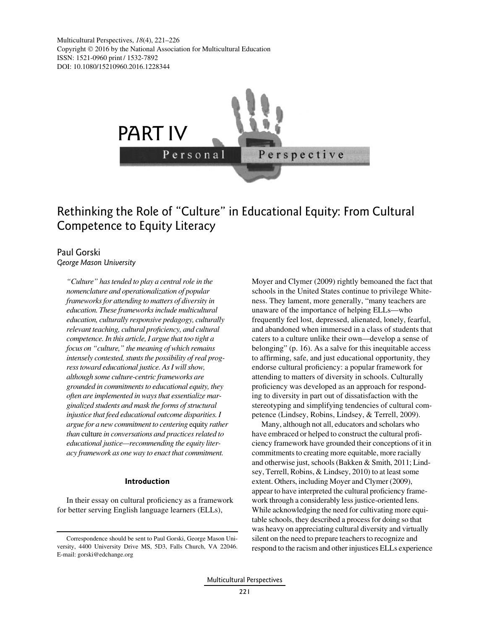Multicultural Perspectives, 18(4), 221–226 Copyright © 2016 by the National Association for Multicultural Education ISSN: 1521-0960 print / 1532-7892 DOI: 10.1080/15210960.2016.1228344



# Rethinking the Role of "Culture" in Educational Equity: From Cultural Competence to Equity Literacy

# Paul Gorski George Mason University

"Culture" has tended to play a central role in the nomenclature and operationalization of popular frameworks for attending to matters of diversity in education. These frameworks include multicultural education, culturally responsive pedagogy, culturally relevant teaching, cultural proficiency, and cultural competence. In this article, I argue that too tight a focus on "culture," the meaning of which remains intensely contested, stunts the possibility of real progress toward educational justice. As I will show, although some culture-centric frameworks are grounded in commitments to educational equity, they often are implemented in ways that essentialize marginalized students and mask the forms of structural injustice that feed educational outcome disparities. I argue for a new commitment to centering equity rather than culture in conversations and practices related to educational justice—recommending the equity literacy framework as one way to enact that commitment.

## Introduction

In their essay on cultural proficiency as a framework for better serving English language learners (ELLs),

Moyer and Clymer (2009) rightly bemoaned the fact that schools in the United States continue to privilege Whiteness. They lament, more generally, "many teachers are unaware of the importance of helping ELLs—who frequently feel lost, depressed, alienated, lonely, fearful, and abandoned when immersed in a class of students that caters to a culture unlike their own—develop a sense of belonging" (p. 16). As a salve for this inequitable access to affirming, safe, and just educational opportunity, they endorse cultural proficiency: a popular framework for attending to matters of diversity in schools. Culturally proficiency was developed as an approach for responding to diversity in part out of dissatisfaction with the stereotyping and simplifying tendencies of cultural competence (Lindsey, Robins, Lindsey, & Terrell, 2009).

Many, although not all, educators and scholars who have embraced or helped to construct the cultural proficiency framework have grounded their conceptions of it in commitments to creating more equitable, more racially and otherwise just, schools (Bakken & Smith, 2011; Lindsey, Terrell, Robins, & Lindsey, 2010) to at least some extent. Others, including Moyer and Clymer (2009), appear to have interpreted the cultural proficiency framework through a considerably less justice-oriented lens. While acknowledging the need for cultivating more equitable schools, they described a process for doing so that was heavy on appreciating cultural diversity and virtually silent on the need to prepare teachers to recognize and respond to the racism and other injustices ELLs experience

Correspondence should be sent to Paul Gorski, George Mason University, 4400 University Drive MS, 5D3, Falls Church, VA 22046. E-mail: gorski@edchange.org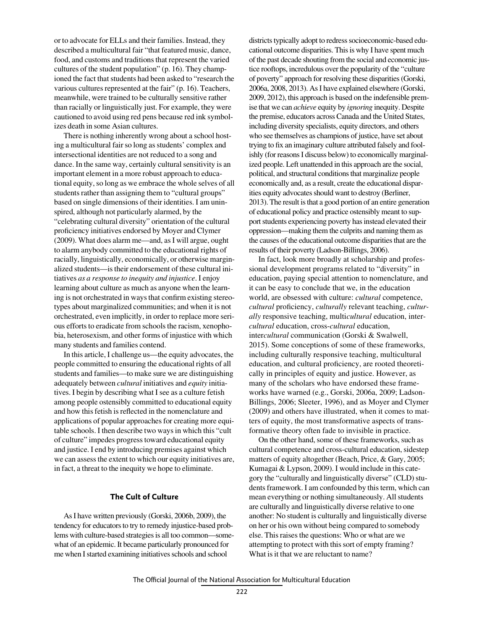or to advocate for ELLs and their families. Instead, they described a multicultural fair "that featured music, dance, food, and customs and traditions that represent the varied cultures of the student population" (p. 16). They championed the fact that students had been asked to "research the various cultures represented at the fair" (p. 16). Teachers, meanwhile, were trained to be culturally sensitive rather than racially or linguistically just. For example, they were cautioned to avoid using red pens because red ink symbolizes death in some Asian cultures.

There is nothing inherently wrong about a school hosting a multicultural fair so long as students' complex and intersectional identities are not reduced to a song and dance. In the same way, certainly cultural sensitivity is an important element in a more robust approach to educational equity, so long as we embrace the whole selves of all students rather than assigning them to "cultural groups" based on single dimensions of their identities. I am uninspired, although not particularly alarmed, by the "celebrating cultural diversity" orientation of the cultural proficiency initiatives endorsed by Moyer and Clymer (2009). What does alarm me—and, as I will argue, ought to alarm anybody committed to the educational rights of racially, linguistically, economically, or otherwise marginalized students—is their endorsement of these cultural initiatives as a response to inequity and injustice. I enjoy learning about culture as much as anyone when the learning is not orchestrated in ways that confirm existing stereotypes about marginalized communities; and when it is not orchestrated, even implicitly, in order to replace more serious efforts to eradicate from schools the racism, xenophobia, heterosexism, and other forms of injustice with which many students and families contend.

In this article, I challenge us—the equity advocates, the people committed to ensuring the educational rights of all students and families—to make sure we are distinguishing adequately between *cultural* initiatives and *equity* initiatives. I begin by describing what I see as a culture fetish among people ostensibly committed to educational equity and how this fetish is reflected in the nomenclature and applications of popular approaches for creating more equitable schools. I then describe two ways in which this "cult of culture" impedes progress toward educational equity and justice. I end by introducing premises against which we can assess the extent to which our equity initiatives are, in fact, a threat to the inequity we hope to eliminate.

### The Cult of Culture

As I have written previously (Gorski, 2006b, 2009), the tendency for educators to try to remedy injustice-based problems with culture-based strategies is all too common—somewhat of an epidemic. It became particularly pronounced for me when I started examining initiatives schools and school

districts typically adopt to redress socioeconomic-based educational outcome disparities. This is why I have spent much of the past decade shouting from the social and economic justice rooftops, incredulous over the popularity of the "culture of poverty" approach for resolving these disparities (Gorski, 2006a, 2008, 2013). As I have explained elsewhere (Gorski, 2009, 2012), this approach is based on the indefensible premise that we can achieve equity by ignoring inequity. Despite the premise, educators across Canada and the United States, including diversity specialists, equity directors, and others who see themselves as champions of justice, have set about trying to fix an imaginary culture attributed falsely and foolishly (for reasons I discuss below) to economically marginalized people. Left unattended in this approach are the social, political, and structural conditions that marginalize people economically and, as a result, create the educational disparities equity advocates should want to destroy (Berliner, 2013). The result is that a good portion of an entire generation of educational policy and practice ostensibly meant to support students experiencing poverty has instead elevated their oppression—making them the culprits and naming them as the causes of the educational outcome disparities that are the results of their poverty (Ladson-Billings, 2006).

In fact, look more broadly at scholarship and professional development programs related to "diversity" in education, paying special attention to nomenclature, and it can be easy to conclude that we, in the education world, are obsessed with culture: cultural competence, cultural proficiency, culturally relevant teaching, culturally responsive teaching, multicultural education, intercultural education, cross-cultural education, intercultural communication (Gorski & Swalwell, 2015). Some conceptions of some of these frameworks, including culturally responsive teaching, multicultural education, and cultural proficiency, are rooted theoretically in principles of equity and justice. However, as many of the scholars who have endorsed these frameworks have warned (e.g., Gorski, 2006a, 2009; Ladson-Billings, 2006; Sleeter, 1996), and as Moyer and Clymer (2009) and others have illustrated, when it comes to matters of equity, the most transformative aspects of transformative theory often fade to invisible in practice.

On the other hand, some of these frameworks, such as cultural competence and cross-cultural education, sidestep matters of equity altogether (Beach, Price, & Gary, 2005; Kumagai & Lypson, 2009). I would include in this category the "culturally and linguistically diverse" (CLD) students framework. I am confounded by this term, which can mean everything or nothing simultaneously. All students are culturally and linguistically diverse relative to one another: No student is culturally and linguistically diverse on her or his own without being compared to somebody else. This raises the questions: Who or what are we attempting to protect with this sort of empty framing? What is it that we are reluctant to name?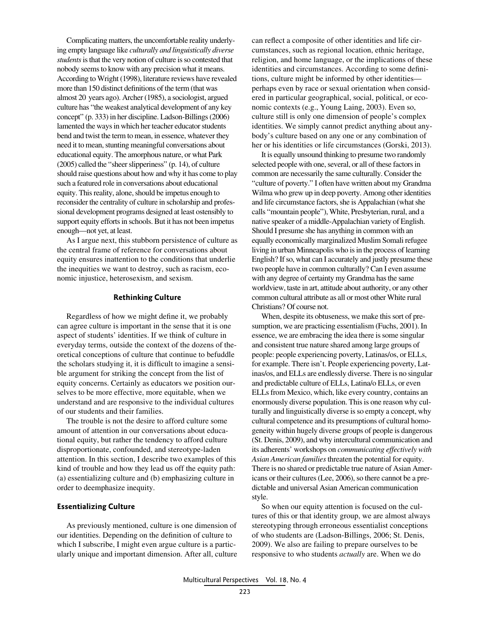Complicating matters, the uncomfortable reality underlying empty language like culturally and linguistically diverse students is that the very notion of culture is so contested that nobody seems to know with any precision what it means. According to Wright (1998), literature reviews have revealed more than 150 distinct definitions of the term (that was almost 20 years ago). Archer (1985), a sociologist, argued culture has "the weakest analytical development of any key concept" (p. 333) in her discipline. Ladson-Billings (2006) lamented the ways in which her teacher educator students bend and twist the term to mean, in essence, whatever they need it to mean, stunting meaningful conversations about educational equity. The amorphous nature, or what Park (2005) called the "sheer slipperiness" (p. 14), of culture should raise questions about how and why it has come to play such a featured role in conversations about educational equity. This reality, alone, should be impetus enough to reconsider the centrality of culture in scholarship and professional development programs designed at least ostensibly to support equity efforts in schools. But it has not been impetus enough—not yet, at least.

As I argue next, this stubborn persistence of culture as the central frame of reference for conversations about equity ensures inattention to the conditions that underlie the inequities we want to destroy, such as racism, economic injustice, heterosexism, and sexism.

### Rethinking Culture

Regardless of how we might define it, we probably can agree culture is important in the sense that it is one aspect of students' identities. If we think of culture in everyday terms, outside the context of the dozens of theoretical conceptions of culture that continue to befuddle the scholars studying it, it is difficult to imagine a sensible argument for striking the concept from the list of equity concerns. Certainly as educators we position ourselves to be more effective, more equitable, when we understand and are responsive to the individual cultures of our students and their families.

The trouble is not the desire to afford culture some amount of attention in our conversations about educational equity, but rather the tendency to afford culture disproportionate, confounded, and stereotype-laden attention. In this section, I describe two examples of this kind of trouble and how they lead us off the equity path: (a) essentializing culture and (b) emphasizing culture in order to deemphasize inequity.

#### Essentializing Culture

As previously mentioned, culture is one dimension of our identities. Depending on the definition of culture to which I subscribe, I might even argue culture is a particularly unique and important dimension. After all, culture can reflect a composite of other identities and life circumstances, such as regional location, ethnic heritage, religion, and home language, or the implications of these identities and circumstances. According to some definitions, culture might be informed by other identities perhaps even by race or sexual orientation when considered in particular geographical, social, political, or economic contexts (e.g., Young Laing, 2003). Even so, culture still is only one dimension of people's complex identities. We simply cannot predict anything about anybody's culture based on any one or any combination of her or his identities or life circumstances (Gorski, 2013).

It is equally unsound thinking to presume two randomly selected people with one, several, or all of these factors in common are necessarily the same culturally. Consider the "culture of poverty." I often have written about my Grandma Wilma who grew up in deep poverty. Among other identities and life circumstance factors, she is Appalachian (what she calls "mountain people"), White, Presbyterian, rural, and a native speaker of a middle-Appalachian variety of English. Should I presume she has anything in common with an equally economically marginalized Muslim Somali refugee living in urban Minneapolis who is in the process of learning English? If so, what can I accurately and justly presume these two people have in common culturally? Can I even assume with any degree of certainty my Grandma has the same worldview, taste in art, attitude about authority, or any other common cultural attribute as all or most other White rural Christians? Of course not.

When, despite its obtuseness, we make this sort of presumption, we are practicing essentialism (Fuchs, 2001). In essence, we are embracing the idea there is some singular and consistent true nature shared among large groups of people: people experiencing poverty, Latinas/os, or ELLs, for example. There isn't. People experiencing poverty, Latinas/os, and ELLs are endlessly diverse. There is no singular and predictable culture of ELLs, Latina/o ELLs, or even ELLs from Mexico, which, like every country, contains an enormously diverse population. This is one reason why culturally and linguistically diverse is so empty a concept, why cultural competence and its presumptions of cultural homogeneity within hugely diverse groups of people is dangerous (St. Denis, 2009), and why intercultural communication and its adherents' workshops on communicating effectively with Asian American families threaten the potential for equity. There is no shared or predictable true nature of Asian Americans or their cultures (Lee, 2006), so there cannot be a predictable and universal Asian American communication style.

So when our equity attention is focused on the cultures of this or that identity group, we are almost always stereotyping through erroneous essentialist conceptions of who students are (Ladson-Billings, 2006; St. Denis, 2009). We also are failing to prepare ourselves to be responsive to who students actually are. When we do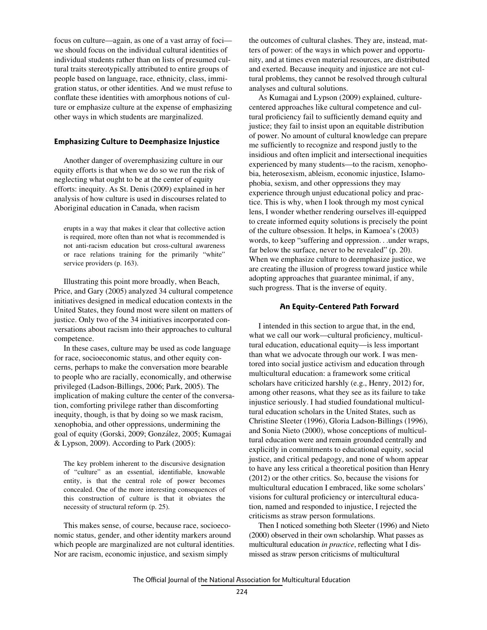focus on culture—again, as one of a vast array of foci we should focus on the individual cultural identities of individual students rather than on lists of presumed cultural traits stereotypically attributed to entire groups of people based on language, race, ethnicity, class, immigration status, or other identities. And we must refuse to conflate these identities with amorphous notions of culture or emphasize culture at the expense of emphasizing other ways in which students are marginalized.

#### Emphasizing Culture to Deemphasize Injustice

Another danger of overemphasizing culture in our equity efforts is that when we do so we run the risk of neglecting what ought to be at the center of equity efforts: inequity. As St. Denis (2009) explained in her analysis of how culture is used in discourses related to Aboriginal education in Canada, when racism

erupts in a way that makes it clear that collective action is required, more often than not what is recommended is not anti-racism education but cross-cultural awareness or race relations training for the primarily "white" service providers (p. 163).

Illustrating this point more broadly, when Beach, Price, and Gary (2005) analyzed 34 cultural competence initiatives designed in medical education contexts in the United States, they found most were silent on matters of justice. Only two of the 34 initiatives incorporated conversations about racism into their approaches to cultural competence.

In these cases, culture may be used as code language for race, socioeconomic status, and other equity concerns, perhaps to make the conversation more bearable to people who are racially, economically, and otherwise privileged (Ladson-Billings, 2006; Park, 2005). The implication of making culture the center of the conversation, comforting privilege rather than discomforting inequity, though, is that by doing so we mask racism, xenophobia, and other oppressions, undermining the goal of equity (Gorski, 2009; González, 2005; Kumagai & Lypson, 2009). According to Park (2005):

The key problem inherent to the discursive designation of "culture" as an essential, identifiable, knowable entity, is that the central role of power becomes concealed. One of the more interesting consequences of this construction of culture is that it obviates the necessity of structural reform (p. 25).

This makes sense, of course, because race, socioeconomic status, gender, and other identity markers around which people are marginalized are not cultural identities. Nor are racism, economic injustice, and sexism simply

the outcomes of cultural clashes. They are, instead, matters of power: of the ways in which power and opportunity, and at times even material resources, are distributed and exerted. Because inequity and injustice are not cultural problems, they cannot be resolved through cultural analyses and cultural solutions.

As Kumagai and Lypson (2009) explained, culturecentered approaches like cultural competence and cultural proficiency fail to sufficiently demand equity and justice; they fail to insist upon an equitable distribution of power. No amount of cultural knowledge can prepare me sufficiently to recognize and respond justly to the insidious and often implicit and intersectional inequities experienced by many students—to the racism, xenophobia, heterosexism, ableism, economic injustice, Islamophobia, sexism, and other oppressions they may experience through unjust educational policy and practice. This is why, when I look through my most cynical lens, I wonder whether rendering ourselves ill-equipped to create informed equity solutions is precisely the point of the culture obsession. It helps, in Kamoea's (2003) words, to keep "suffering and oppression...under wraps, far below the surface, never to be revealed" (p. 20). When we emphasize culture to deemphasize justice, we are creating the illusion of progress toward justice while adopting approaches that guarantee minimal, if any, such progress. That is the inverse of equity.

#### An Equity-Centered Path Forward

I intended in this section to argue that, in the end, what we call our work—cultural proficiency, multicultural education, educational equity—is less important than what we advocate through our work. I was mentored into social justice activism and education through multicultural education: a framework some critical scholars have criticized harshly (e.g., Henry, 2012) for, among other reasons, what they see as its failure to take injustice seriously. I had studied foundational multicultural education scholars in the United States, such as Christine Sleeter (1996), Gloria Ladson-Billings (1996), and Sonia Nieto (2000), whose conceptions of multicultural education were and remain grounded centrally and explicitly in commitments to educational equity, social justice, and critical pedagogy, and none of whom appear to have any less critical a theoretical position than Henry (2012) or the other critics. So, because the visions for multicultural education I embraced, like some scholars' visions for cultural proficiency or intercultural education, named and responded to injustice, I rejected the criticisms as straw person formulations.

Then I noticed something both Sleeter (1996) and Nieto (2000) observed in their own scholarship. What passes as multicultural education in practice, reflecting what I dismissed as straw person criticisms of multicultural

The Official Journal of the National Association for Multicultural Education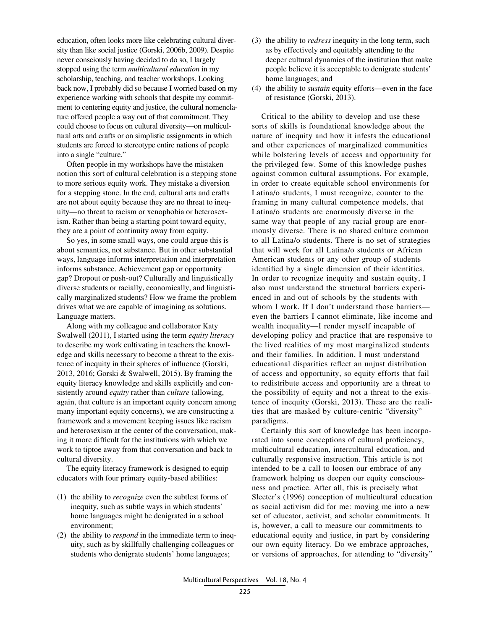education, often looks more like celebrating cultural diversity than like social justice (Gorski, 2006b, 2009). Despite never consciously having decided to do so, I largely stopped using the term multicultural education in my scholarship, teaching, and teacher workshops. Looking back now, I probably did so because I worried based on my experience working with schools that despite my commitment to centering equity and justice, the cultural nomenclature offered people a way out of that commitment. They could choose to focus on cultural diversity—on multicultural arts and crafts or on simplistic assignments in which students are forced to stereotype entire nations of people into a single "culture."

Often people in my workshops have the mistaken notion this sort of cultural celebration is a stepping stone to more serious equity work. They mistake a diversion for a stepping stone. In the end, cultural arts and crafts are not about equity because they are no threat to inequity—no threat to racism or xenophobia or heterosexism. Rather than being a starting point toward equity, they are a point of continuity away from equity.

So yes, in some small ways, one could argue this is about semantics, not substance. But in other substantial ways, language informs interpretation and interpretation informs substance. Achievement gap or opportunity gap? Dropout or push-out? Culturally and linguistically diverse students or racially, economically, and linguistically marginalized students? How we frame the problem drives what we are capable of imagining as solutions. Language matters.

Along with my colleague and collaborator Katy Swalwell (2011), I started using the term *equity literacy* to describe my work cultivating in teachers the knowledge and skills necessary to become a threat to the existence of inequity in their spheres of influence (Gorski, 2013, 2016; Gorski & Swalwell, 2015). By framing the equity literacy knowledge and skills explicitly and consistently around *equity* rather than *culture* (allowing, again, that culture is an important equity concern among many important equity concerns), we are constructing a framework and a movement keeping issues like racism and heterosexism at the center of the conversation, making it more difficult for the institutions with which we work to tiptoe away from that conversation and back to cultural diversity.

The equity literacy framework is designed to equip educators with four primary equity-based abilities:

- (1) the ability to recognize even the subtlest forms of inequity, such as subtle ways in which students' home languages might be denigrated in a school environment;
- (2) the ability to respond in the immediate term to inequity, such as by skillfully challenging colleagues or students who denigrate students' home languages;
- (3) the ability to redress inequity in the long term, such as by effectively and equitably attending to the deeper cultural dynamics of the institution that make people believe it is acceptable to denigrate students' home languages; and
- (4) the ability to sustain equity efforts—even in the face of resistance (Gorski, 2013).

Critical to the ability to develop and use these sorts of skills is foundational knowledge about the nature of inequity and how it infests the educational and other experiences of marginalized communities while bolstering levels of access and opportunity for the privileged few. Some of this knowledge pushes against common cultural assumptions. For example, in order to create equitable school environments for Latina/o students, I must recognize, counter to the framing in many cultural competence models, that Latina/o students are enormously diverse in the same way that people of any racial group are enormously diverse. There is no shared culture common to all Latina/o students. There is no set of strategies that will work for all Latina/o students or African American students or any other group of students identified by a single dimension of their identities. In order to recognize inequity and sustain equity, I also must understand the structural barriers experienced in and out of schools by the students with whom I work. If I don't understand those barriers even the barriers I cannot eliminate, like income and wealth inequality—I render myself incapable of developing policy and practice that are responsive to the lived realities of my most marginalized students and their families. In addition, I must understand educational disparities reflect an unjust distribution of access and opportunity, so equity efforts that fail to redistribute access and opportunity are a threat to the possibility of equity and not a threat to the existence of inequity (Gorski, 2013). These are the realities that are masked by culture-centric "diversity" paradigms.

Certainly this sort of knowledge has been incorporated into some conceptions of cultural proficiency, multicultural education, intercultural education, and culturally responsive instruction. This article is not intended to be a call to loosen our embrace of any framework helping us deepen our equity consciousness and practice. After all, this is precisely what Sleeter's (1996) conception of multicultural education as social activism did for me: moving me into a new set of educator, activist, and scholar commitments. It is, however, a call to measure our commitments to educational equity and justice, in part by considering our own equity literacy. Do we embrace approaches, or versions of approaches, for attending to "diversity"